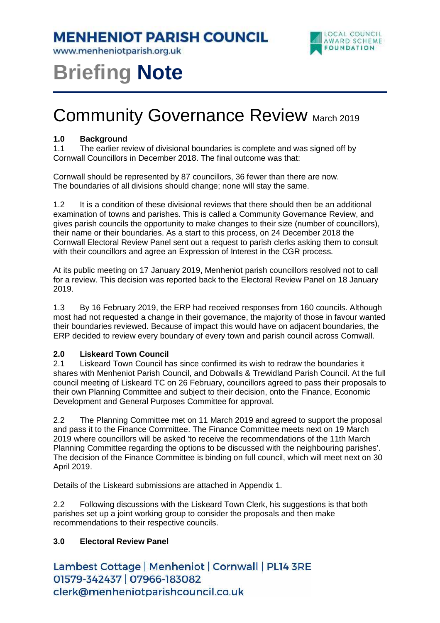**MENHENIOT PARISH COUNCIL** 

www.menheniotparish.org.uk



# **Briefing Note**

# **Community Governance Review March 2019**

#### **1.0 Background**

1.1 The earlier review of divisional boundaries is complete and was signed off by Cornwall Councillors in December 2018. The final outcome was that:

Cornwall should be represented by 87 councillors, 36 fewer than there are now. The boundaries of all divisions should change; none will stay the same.

1.2 It is a condition of these divisional reviews that there should then be an additional examination of towns and parishes. This is called a Community Governance Review, and gives parish councils the opportunity to make changes to their size (number of councillors), their name or their boundaries. As a start to this process, on 24 December 2018 the Cornwall Electoral Review Panel sent out a request to parish clerks asking them to consult with their councillors and agree an Expression of Interest in the CGR process.

At its public meeting on 17 January 2019, Menheniot parish councillors resolved not to call for a review. This decision was reported back to the Electoral Review Panel on 18 January 2019.

1.3 By 16 February 2019, the ERP had received responses from 160 councils. Although most had not requested a change in their governance, the majority of those in favour wanted their boundaries reviewed. Because of impact this would have on adjacent boundaries, the ERP decided to review every boundary of every town and parish council across Cornwall.

### **2.0 Liskeard Town Council**

2.1 Liskeard Town Council has since confirmed its wish to redraw the boundaries it shares with Menheniot Parish Council, and Dobwalls & Trewidland Parish Council. At the full council meeting of Liskeard TC on 26 February, councillors agreed to pass their proposals to their own Planning Committee and subject to their decision, onto the Finance, Economic Development and General Purposes Committee for approval.

2.2 The Planning Committee met on 11 March 2019 and agreed to support the proposal and pass it to the Finance Committee. The Finance Committee meets next on 19 March 2019 where councillors will be asked 'to receive the recommendations of the 11th March Planning Committee regarding the options to be discussed with the neighbouring parishes'. The decision of the Finance Committee is binding on full council, which will meet next on 30 April 2019.

Details of the Liskeard submissions are attached in Appendix 1.

2.2 Following discussions with the Liskeard Town Clerk, his suggestions is that both parishes set up a joint working group to consider the proposals and then make recommendations to their respective councils.

### **3.0 Electoral Review Panel**

Lambest Cottage | Menheniot | Cornwall | PL14 3RE 01579-342437 | 07966-183082 clerk@menheniotparishcouncil.co.uk